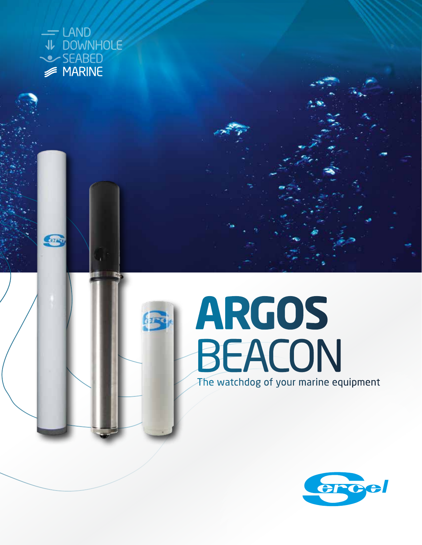

erry

## The watchdog of your marine equipment **ARGOS BEACON**

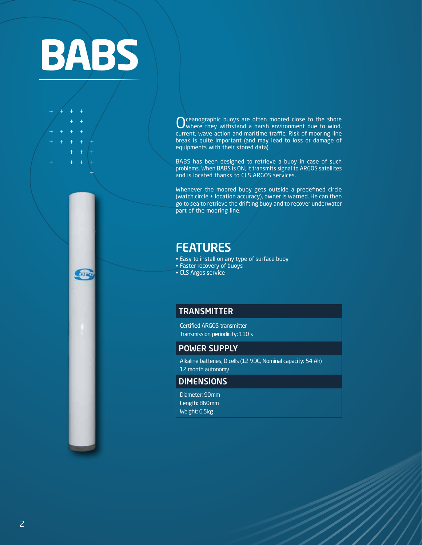

COR

Oceanographic buoys are often moored close to the shore<br>
Where they withstand a harsh environment due to wind, current, wave action and maritime traffic. Risk of mooring line break is quite important (and may lead to loss or damage of equipments with their stored data).

BABS has been designed to retrieve a buoy in case of such problems. When BABS is ON, it transmits signal to ARGOS satellites and is located thanks to CLS ARGOS services.

Whenever the moored buoy gets outside a predefined circle (watch circle + location accuracy), owner is warned. He can then go to sea to retrieve the drifting buoy and to recover underwater part of the mooring line.

## FEATURES

- Easy to install on any type of surface buoy
- Faster recovery of buoys
- CLS Argos service

## **TRANSMITTER**

Certified ARGOS transmitter Transmission periodicity: 110 s

## POWER SUPPLY

Alkaline batteries, D cells (12 VDC, Nominal capacity: 54 Ah) 12 month autonomy

## DIMENSIONS

Diameter: 90mm Length: 860mm Weight: 6.5kg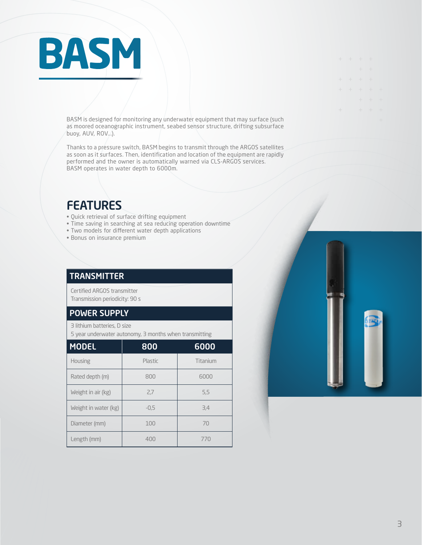# **BASM**

BASM is designed for monitoring any underwater equipment that may surface (such as moored oceanographic instrument, seabed sensor structure, drifting subsurface buoy, AUV, ROV...).

Thanks to a pressure switch, BASM begins to transmit through the ARGOS satellites as soon as it surfaces. Then, identification and location of the equipment are rapidly performed and the owner is automatically warned via CLS-ARGOS services. BASM operates in water depth to 6000m.

## FEATURES

- Quick retrieval of surface drifting equipment
- Time saving in searching at sea reducing operation downtime
- Two models for different water depth applications
- Bonus on insurance premium

## **TRANSMITTER**

Certified ARGOS transmitter Transmission periodicity: 90 s

## POWER SUPPLY

3 lithium batteries, D size

5 year underwater autonomy, 3 months when transmitting

| <b>MODEL</b>         | 800     | 6000     |
|----------------------|---------|----------|
| <b>Housing</b>       | Plastic | Titanium |
| Rated depth (m)      | 800     | 6000     |
| Weight in air (kg)   | 2,7     | 5,5      |
| Weight in water (kg) | $-0.5$  | 3,4      |
| Diameter (mm)        | 100     | 70       |
| Length (mm)          | 400     | 770      |